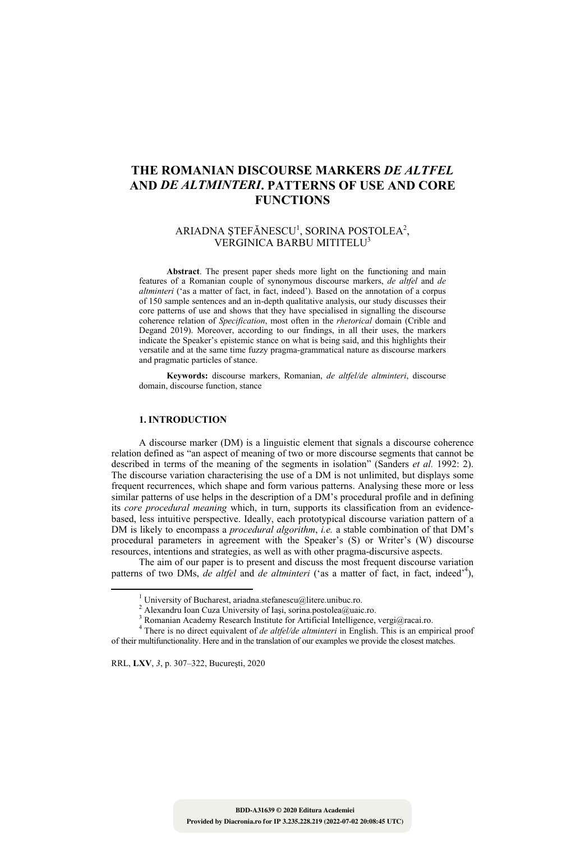# **THE ROMANIAN DISCOURSE MARKERS** *DE ALTFEL*  **AND** *DE ALTMINTERI***. PATTERNS OF USE AND CORE FUNCTIONS**

# ARIADNA ȘTEFĂNESCU<sup>1</sup>, SORINA POSTOLEA<sup>2</sup>, VERGINICA BARBU MITITELU3

**Abstract**. The present paper sheds more light on the functioning and main features of a Romanian couple of synonymous discourse markers, *de altfel* and *de altminteri* ('as a matter of fact, in fact, indeed'). Based on the annotation of a corpus of 150 sample sentences and an in-depth qualitative analysis, our study discusses their core patterns of use and shows that they have specialised in signalling the discourse coherence relation of *Specification*, most often in the *rhetorical* domain (Crible and Degand 2019). Moreover, according to our findings, in all their uses, the markers indicate the Speaker's epistemic stance on what is being said, and this highlights their versatile and at the same time fuzzy pragma-grammatical nature as discourse markers and pragmatic particles of stance.

**Keywords:** discourse markers, Romanian, *de altfel/de altminteri*, discourse domain, discourse function, stance

# **1. INTRODUCTION**

A discourse marker (DM) is a linguistic element that signals a discourse coherence relation defined as "an aspect of meaning of two or more discourse segments that cannot be described in terms of the meaning of the segments in isolation" (Sanders *et al.* 1992: 2). The discourse variation characterising the use of a DM is not unlimited, but displays some frequent recurrences, which shape and form various patterns. Analysing these more or less similar patterns of use helps in the description of a DM's procedural profile and in defining its *core procedural meaning* which, in turn, supports its classification from an evidencebased, less intuitive perspective. Ideally, each prototypical discourse variation pattern of a DM is likely to encompass a *procedural algorithm*, *i.e.* a stable combination of that DM's procedural parameters in agreement with the Speaker's (S) or Writer's (W) discourse resources, intentions and strategies, as well as with other pragma-discursive aspects.

The aim of our paper is to present and discuss the most frequent discourse variation patterns of two DMs, *de altfel* and *de altminteri* ('as a matter of fact, in fact, indeed'<sup>4</sup>),

RRL, **LXV**, *3*, p. 307–322, Bucureşti, 2020

<sup>&</sup>lt;sup>1</sup> University of Bucharest, ariadna.stefanescu@litere.unibuc.ro. University of Bucharest, ariadna.stefanescu@litere.unibuc.ro. <sup>2</sup> Alexandru Ioan Cuga University of Ioai, sorina postales@unic

Alexandru Ioan Cuza University of Iași, sorina.postolea@uaic.ro.  $3 \text{ P}_{\text{op}}$ 

<sup>&</sup>lt;sup>3</sup> Romanian Academy Research Institute for Artificial Intelligence, vergi@racai.ro.

<sup>&</sup>lt;sup>4</sup> There is no direct equivalent of *de altfel/de altminteri* in English. This is an empirical proof of their multifunctionality. Here and in the translation of our examples we provide the closest matches.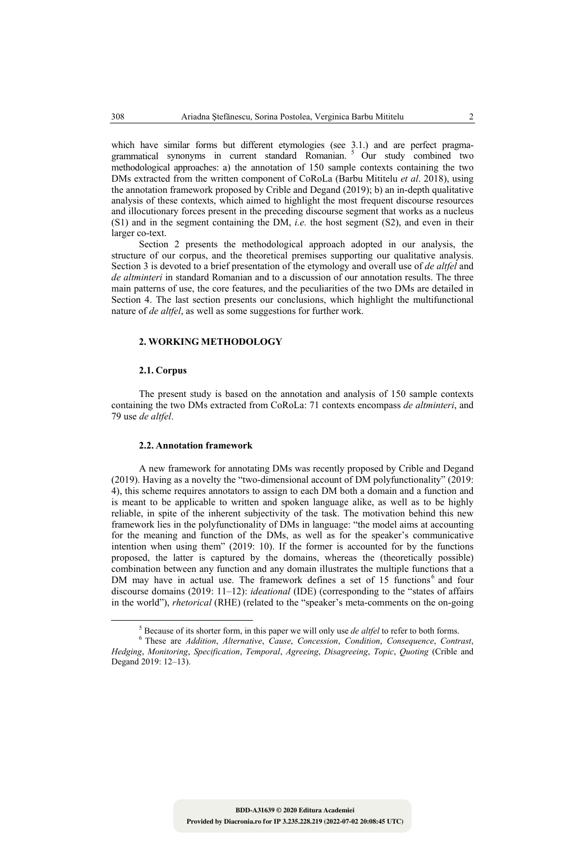which have similar forms but different etymologies (see 3.1.) and are perfect pragmagrammatical synonyms in current standard Romanian. 5 Our study combined two methodological approaches: a) the annotation of 150 sample contexts containing the two DMs extracted from the written component of CoRoLa (Barbu Mititelu *et al*. 2018), using the annotation framework proposed by Crible and Degand (2019); b) an in-depth qualitative analysis of these contexts, which aimed to highlight the most frequent discourse resources and illocutionary forces present in the preceding discourse segment that works as a nucleus (S1) and in the segment containing the DM, *i.e.* the host segment (S2), and even in their larger co-text.

Section 2 presents the methodological approach adopted in our analysis, the structure of our corpus, and the theoretical premises supporting our qualitative analysis. Section 3 is devoted to a brief presentation of the etymology and overall use of *de altfel* and *de altminteri* in standard Romanian and to a discussion of our annotation results. The three main patterns of use, the core features, and the peculiarities of the two DMs are detailed in Section 4. The last section presents our conclusions, which highlight the multifunctional nature of *de altfel*, as well as some suggestions for further work.

# **2. WORKING METHODOLOGY**

#### **2.1. Corpus**

The present study is based on the annotation and analysis of 150 sample contexts containing the two DMs extracted from CoRoLa: 71 contexts encompass *de altminteri*, and 79 use *de altfel*.

### **2.2. Annotation framework**

A new framework for annotating DMs was recently proposed by Crible and Degand (2019). Having as a novelty the "two-dimensional account of DM polyfunctionality" (2019: 4), this scheme requires annotators to assign to each DM both a domain and a function and is meant to be applicable to written and spoken language alike, as well as to be highly reliable, in spite of the inherent subjectivity of the task. The motivation behind this new framework lies in the polyfunctionality of DMs in language: "the model aims at accounting for the meaning and function of the DMs, as well as for the speaker's communicative intention when using them" (2019: 10). If the former is accounted for by the functions proposed, the latter is captured by the domains, whereas the (theoretically possible) combination between any function and any domain illustrates the multiple functions that a DM may have in actual use. The framework defines a set of 15 functions<sup>6</sup> and four discourse domains (2019: 11–12): *ideational* (IDE) (corresponding to the "states of affairs in the world"), *rhetorical* (RHE) (related to the "speaker's meta-comments on the on-going

 $5$  Because of its shorter form in Because of its shorter form, in this paper we will only use *de altfel* to refer to both forms.<br><sup>6</sup> These are *Addition, Alternative, Cause, Consession, Condition, Consequence, Contra* 

These are *Addition*, *Alternative*, *Cause*, *Concession*, *Condition*, *Consequence*, *Contrast*, *Hedging*, *Monitoring*, *Specification*, *Temporal*, *Agreeing*, *Disagreeing*, *Topic*, *Quoting* (Crible and Degand 2019: 12–13).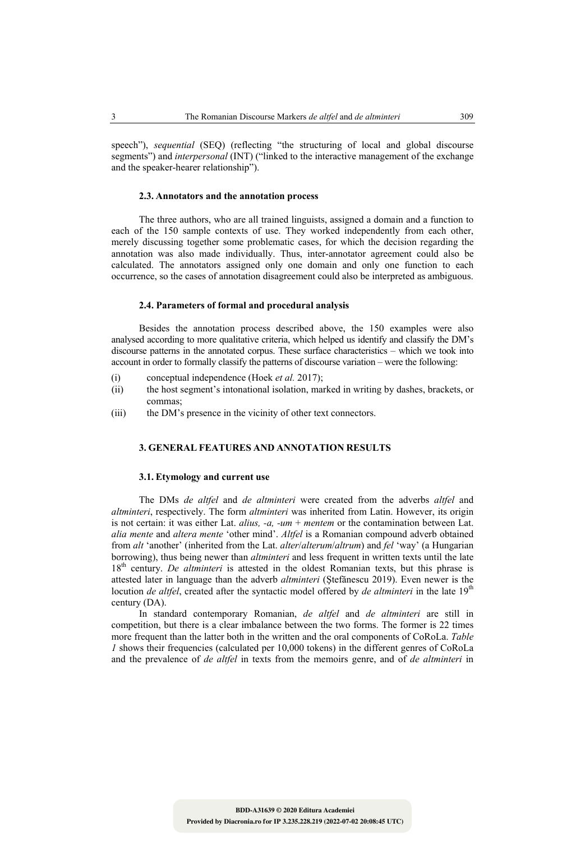#### **2.3. Annotators and the annotation process**

and the speaker-hearer relationship").

The three authors, who are all trained linguists, assigned a domain and a function to each of the 150 sample contexts of use. They worked independently from each other, merely discussing together some problematic cases, for which the decision regarding the annotation was also made individually. Thus, inter-annotator agreement could also be calculated. The annotators assigned only one domain and only one function to each occurrence, so the cases of annotation disagreement could also be interpreted as ambiguous.

#### **2.4. Parameters of formal and procedural analysis**

Besides the annotation process described above, the 150 examples were also analysed according to more qualitative criteria, which helped us identify and classify the DM's discourse patterns in the annotated corpus. These surface characteristics – which we took into account in order to formally classify the patterns of discourse variation – were the following:

- (i) conceptual independence (Hoek *et al.* 2017);
- (ii) the host segment's intonational isolation, marked in writing by dashes, brackets, or commas;
- (iii) the DM's presence in the vicinity of other text connectors.

# **3. GENERAL FEATURES AND ANNOTATION RESULTS**

#### **3.1. Etymology and current use**

The DMs *de altfel* and *de altminteri* were created from the adverbs *altfel* and *altminteri*, respectively. The form *altminteri* was inherited from Latin. However, its origin is not certain: it was either Lat. *alius, -a, -um* + *mentem* or the contamination between Lat. *alia mente* and *altera mente* 'other mind'. *Altfel* is a Romanian compound adverb obtained from *alt* 'another' (inherited from the Lat. *alter*/*alterum*/*altrum*) and *fel* 'way' (a Hungarian borrowing), thus being newer than *altminteri* and less frequent in written texts until the late 18th century. *De altminteri* is attested in the oldest Romanian texts, but this phrase is attested later in language than the adverb *altminteri* (Ştefănescu 2019). Even newer is the locution *de altfel*, created after the syntactic model offered by *de altminteri* in the late 19<sup>th</sup> century (DA).

In standard contemporary Romanian, *de altfel* and *de altminteri* are still in competition, but there is a clear imbalance between the two forms. The former is 22 times more frequent than the latter both in the written and the oral components of CoRoLa. *Table I* shows their frequencies (calculated per 10,000 tokens) in the different genres of CoRoLa and the prevalence of *de altfel* in texts from the memoirs genre, and of *de altminteri* in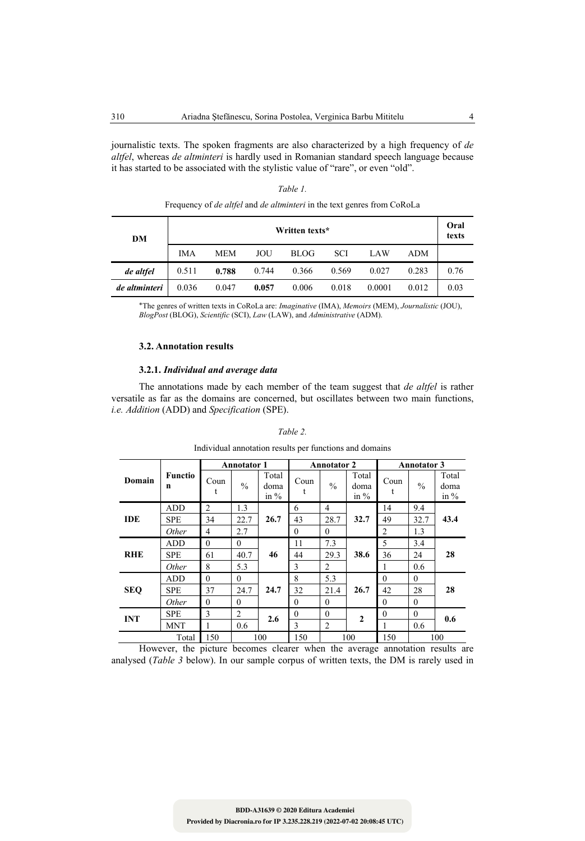journalistic texts. The spoken fragments are also characterized by a high frequency of *de altfel*, whereas *de altminteri* is hardly used in Romanian standard speech language because it has started to be associated with the stylistic value of "rare", or even "old".

| DM            | Treducing at the thigher thing the thing their in the tent general main correspondent<br>Written texts* |            |       |             |            |        |            |      |  |
|---------------|---------------------------------------------------------------------------------------------------------|------------|-------|-------------|------------|--------|------------|------|--|
|               | <b>IMA</b>                                                                                              | <b>MEM</b> | JOU   | <b>BLOG</b> | <b>SCI</b> | LAW    | <b>ADM</b> |      |  |
| de altfel     | 0.511                                                                                                   | 0.788      | 0.744 | 0.366       | 0.569      | 0.027  | 0.283      | 0.76 |  |
| de altminteri | 0.036                                                                                                   | 0.047      | 0.057 | 0.006       | 0.018      | 0.0001 | 0.012      | 0.03 |  |

*Table 1.* Frequency of *de altfel* and *de altminteri* in the text genres from CoRoLa

\*The genres of written texts in CoRoLa are: *Imaginative* (IMA), *Memoirs* (MEM), *Journalistic* (JOU), *BlogPost* (BLOG), *Scientific* (SCI), *Law* (LAW), and *Administrative* (ADM).

# **3.2. Annotation results**

# **3.2.1.** *Individual and average data*

The annotations made by each member of the team suggest that *de altfel* is rather versatile as far as the domains are concerned, but oscillates between two main functions, *i.e. Addition* (ADD) and *Specification* (SPE).

#### *Table 2.*

Individual annotation results per functions and domains

|            |                     | <b>Annotator 1</b> |               |                         | <b>Annotator 2</b> |                |                         | <b>Annotator 3</b> |               |                         |
|------------|---------------------|--------------------|---------------|-------------------------|--------------------|----------------|-------------------------|--------------------|---------------|-------------------------|
| Domain     | <b>Functio</b><br>n | Coun<br>t          | $\frac{0}{0}$ | Total<br>doma<br>in $%$ | Coun<br>t          | $\frac{0}{0}$  | Total<br>doma<br>in $%$ | Coun               | $\frac{0}{0}$ | Total<br>doma<br>in $%$ |
| <b>IDE</b> | <b>ADD</b>          | 2                  | 1.3           | 26.7                    | 6                  | 4              | 32.7                    | 14                 | 9.4           | 43.4                    |
|            | <b>SPE</b>          | 34                 | 22.7          |                         | 43                 | 28.7           |                         | 49                 | 32.7          |                         |
|            | <i>Other</i>        | 4                  | 2.7           |                         | $\theta$           | $\theta$       |                         | $\overline{2}$     | 1.3           |                         |
| <b>RHE</b> | <b>ADD</b>          | $\mathbf{0}$       | $\theta$      | 46                      | 11                 | 7.3            | 38.6                    | 5                  | 3.4           | 28                      |
|            | <b>SPE</b>          | 61                 | 40.7          |                         | 44                 | 29.3           |                         | 36                 | 24            |                         |
|            | <i>Other</i>        | 8                  | 5.3           |                         | 3                  | 2              |                         | 1                  | 0.6           |                         |
| <b>SEQ</b> | <b>ADD</b>          | $\theta$           | $\theta$      | 24.7                    | 8                  | 5.3            | 26.7                    | $\theta$           | $\theta$      | 28                      |
|            | <b>SPE</b>          | 37                 | 24.7          |                         | 32                 | 21.4           |                         | 42                 | 28            |                         |
|            | <i>Other</i>        | $\mathbf{0}$       | $\theta$      |                         | $\theta$           | $\theta$       |                         | $\theta$           | $\mathbf{0}$  |                         |
| <b>INT</b> | <b>SPE</b>          | 3                  | 2             | 2.6                     | $\theta$           | $\mathbf{0}$   | $\overline{2}$          | $\theta$           | $\mathbf{0}$  | 0.6                     |
|            | <b>MNT</b>          | 1                  | 0.6           |                         | 3                  | $\overline{2}$ |                         | 1                  | 0.6           |                         |
| Total      |                     | 150                | 100           |                         | 150                | 100            |                         | 150                | 100           |                         |

However, the picture becomes clearer when the average annotation results are analysed (*Table 3* below). In our sample corpus of written texts, the DM is rarely used in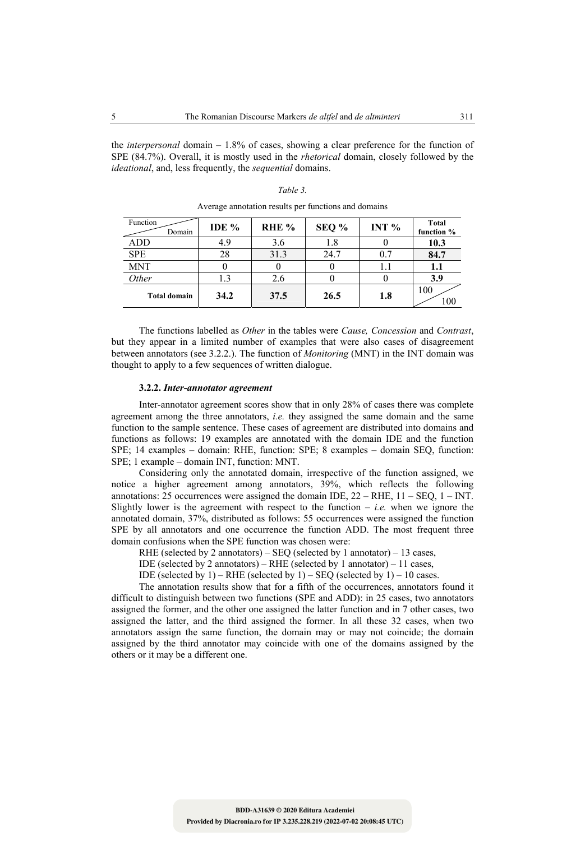the *interpersonal* domain – 1.8% of cases, showing a clear preference for the function of SPE (84.7%). Overall, it is mostly used in the *rhetorical* domain, closely followed by the *ideational*, and, less frequently, the *sequential* domains.

| Function<br>Domain  | IDE % | RHE <sup>%</sup> | SEQ % | INT $%$ | <b>Total</b><br>function % |
|---------------------|-------|------------------|-------|---------|----------------------------|
| ADD                 | 4.9   | 3.6              | 1.8   |         | 10.3                       |
| <b>SPE</b>          | 28    | 31.3             | 24.7  | 0.7     | 84.7                       |
| <b>MNT</b>          |       |                  |       |         | 1.1                        |
| Other               | 1.3   | 2.6              |       |         | 3.9                        |
| <b>Total domain</b> | 34.2  | 37.5             | 26.5  | 1.8     | 100<br>100                 |

*Table 3.*  Average annotation results per functions and domains

The functions labelled as *Other* in the tables were *Cause, Concession* and *Contrast*, but they appear in a limited number of examples that were also cases of disagreement between annotators (see 3.2.2.). The function of *Monitoring* (MNT) in the INT domain was thought to apply to a few sequences of written dialogue.

#### **3.2.2.** *Inter-annotator agreement*

Inter-annotator agreement scores show that in only 28% of cases there was complete agreement among the three annotators, *i.e.* they assigned the same domain and the same function to the sample sentence. These cases of agreement are distributed into domains and functions as follows: 19 examples are annotated with the domain IDE and the function SPE; 14 examples – domain: RHE, function: SPE; 8 examples – domain SEQ, function: SPE; 1 example – domain INT, function: MNT.

Considering only the annotated domain, irrespective of the function assigned, we notice a higher agreement among annotators, 39%, which reflects the following annotations: 25 occurrences were assigned the domain IDE,  $22 - RHE$ ,  $11 - SEQ$ ,  $1 - INT$ . Slightly lower is the agreement with respect to the function  $-$  *i.e.* when we ignore the annotated domain, 37%, distributed as follows: 55 occurrences were assigned the function SPE by all annotators and one occurrence the function ADD. The most frequent three domain confusions when the SPE function was chosen were:

RHE (selected by 2 annotators) – SEQ (selected by 1 annotator) – 13 cases,

- IDE (selected by 2 annotators) RHE (selected by 1 annotator) 11 cases,
- IDE (selected by  $1$ ) RHE (selected by  $1$ ) SEQ (selected by  $1$ ) 10 cases.

The annotation results show that for a fifth of the occurrences, annotators found it difficult to distinguish between two functions (SPE and ADD): in 25 cases, two annotators assigned the former, and the other one assigned the latter function and in 7 other cases, two assigned the latter, and the third assigned the former. In all these 32 cases, when two annotators assign the same function, the domain may or may not coincide; the domain assigned by the third annotator may coincide with one of the domains assigned by the others or it may be a different one.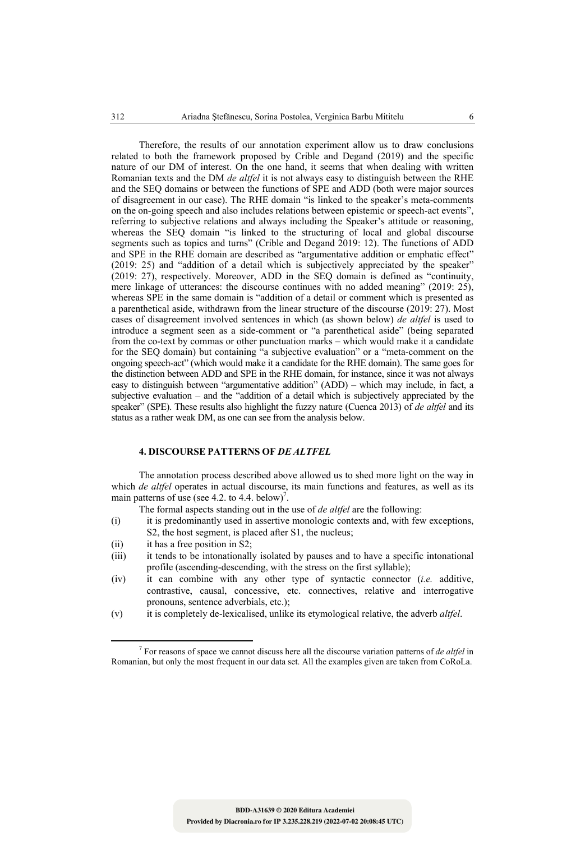Therefore, the results of our annotation experiment allow us to draw conclusions related to both the framework proposed by Crible and Degand (2019) and the specific nature of our DM of interest. On the one hand, it seems that when dealing with written Romanian texts and the DM *de altfel* it is not always easy to distinguish between the RHE and the SEQ domains or between the functions of SPE and ADD (both were major sources of disagreement in our case). The RHE domain "is linked to the speaker's meta-comments on the on-going speech and also includes relations between epistemic or speech-act events", referring to subjective relations and always including the Speaker's attitude or reasoning, whereas the SEQ domain "is linked to the structuring of local and global discourse segments such as topics and turns" (Crible and Degand 2019: 12). The functions of ADD and SPE in the RHE domain are described as "argumentative addition or emphatic effect" (2019: 25) and "addition of a detail which is subjectively appreciated by the speaker" (2019: 27), respectively. Moreover, ADD in the SEQ domain is defined as "continuity, mere linkage of utterances: the discourse continues with no added meaning" (2019: 25), whereas SPE in the same domain is "addition of a detail or comment which is presented as a parenthetical aside, withdrawn from the linear structure of the discourse (2019: 27). Most cases of disagreement involved sentences in which (as shown below) *de altfel* is used to introduce a segment seen as a side-comment or "a parenthetical aside" (being separated from the co-text by commas or other punctuation marks – which would make it a candidate for the SEQ domain) but containing "a subjective evaluation" or a "meta-comment on the ongoing speech-act" (which would make it a candidate for the RHE domain). The same goes for the distinction between ADD and SPE in the RHE domain, for instance, since it was not always easy to distinguish between "argumentative addition" (ADD) – which may include, in fact, a subjective evaluation – and the "addition of a detail which is subjectively appreciated by the speaker" (SPE). These results also highlight the fuzzy nature (Cuenca 2013) of *de altfel* and its status as a rather weak DM, as one can see from the analysis below.

# **4. DISCOURSE PATTERNS OF** *DE ALTFEL*

The annotation process described above allowed us to shed more light on the way in which *de altfel* operates in actual discourse, its main functions and features, as well as its main patterns of use (see 4.2. to 4.4. below)<sup>7</sup>.

The formal aspects standing out in the use of *de altfel* are the following:

- (i) it is predominantly used in assertive monologic contexts and, with few exceptions, S2, the host segment, is placed after S1, the nucleus;
- (ii) it has a free position in S2;
- (iii) it tends to be intonationally isolated by pauses and to have a specific intonational profile (ascending-descending, with the stress on the first syllable);
- (iv) it can combine with any other type of syntactic connector (*i.e.* additive, contrastive, causal, concessive, etc. connectives, relative and interrogative pronouns, sentence adverbials, etc.);
- (v) it is completely de-lexicalised, unlike its etymological relative, the adverb *altfel*.

 <sup>7</sup> For reasons of space we cannot discuss here all the discourse variation patterns of *de altfel* in Romanian, but only the most frequent in our data set. All the examples given are taken from CoRoLa.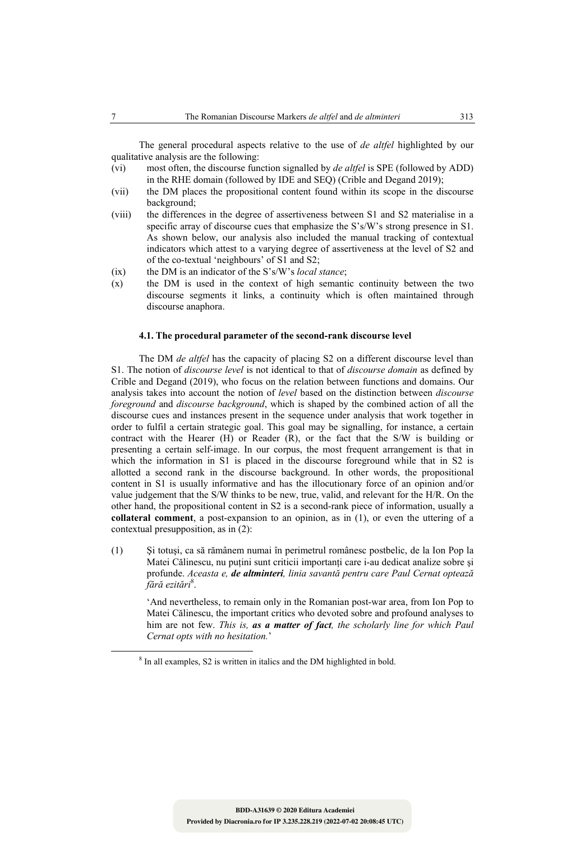The general procedural aspects relative to the use of *de altfel* highlighted by our qualitative analysis are the following:

- (vi) most often, the discourse function signalled by *de altfel* is SPE (followed by ADD) in the RHE domain (followed by IDE and SEQ) (Crible and Degand 2019);
- (vii) the DM places the propositional content found within its scope in the discourse background;
- (viii) the differences in the degree of assertiveness between S1 and S2 materialise in a specific array of discourse cues that emphasize the S's/W's strong presence in S1. As shown below, our analysis also included the manual tracking of contextual indicators which attest to a varying degree of assertiveness at the level of S2 and of the co-textual 'neighbours' of S1 and S2;
- (ix) the DM is an indicator of the S's/W's *local stance*;
- (x) the DM is used in the context of high semantic continuity between the two discourse segments it links, a continuity which is often maintained through discourse anaphora.

#### **4.1. The procedural parameter of the second-rank discourse level**

The DM *de altfel* has the capacity of placing S2 on a different discourse level than S1. The notion of *discourse level* is not identical to that of *discourse domain* as defined by Crible and Degand (2019), who focus on the relation between functions and domains. Our analysis takes into account the notion of *level* based on the distinction between *discourse foreground* and *discourse background*, which is shaped by the combined action of all the discourse cues and instances present in the sequence under analysis that work together in order to fulfil a certain strategic goal. This goal may be signalling, for instance, a certain contract with the Hearer (H) or Reader (R), or the fact that the S/W is building or presenting a certain self-image. In our corpus, the most frequent arrangement is that in which the information in S1 is placed in the discourse foreground while that in S2 is allotted a second rank in the discourse background. In other words, the propositional content in S1 is usually informative and has the illocutionary force of an opinion and/or value judgement that the S/W thinks to be new, true, valid, and relevant for the H/R. On the other hand, the propositional content in S2 is a second-rank piece of information, usually a **collateral comment**, a post-expansion to an opinion, as in (1), or even the uttering of a contextual presupposition, as in (2):

(1) Şi totuşi, ca să rămânem numai în perimetrul românesc postbelic, de la Ion Pop la Matei Călinescu, nu puțini sunt criticii importanți care i-au dedicat analize sobre și profunde. *Aceasta e, de altminteri, linia savantă pentru care Paul Cernat optează fără ezitări*<sup>8</sup> .

'And nevertheless, to remain only in the Romanian post-war area, from Ion Pop to Matei Călinescu, the important critics who devoted sobre and profound analyses to him are not few. *This is, as a matter of fact, the scholarly line for which Paul Cernat opts with no hesitation.*'

<sup>&</sup>lt;sup>8</sup> In all examples, S2 is written in italics and the DM highlighted in bold.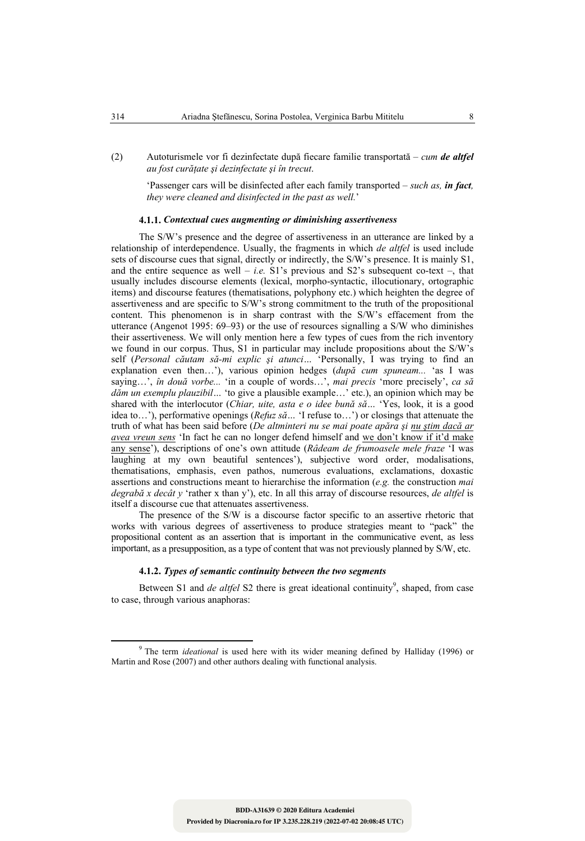(2) Autoturismele vor fi dezinfectate după fiecare familie transportată – *cum de altfel au fost curăţate şi dezinfectate şi în trecut*.

'Passenger cars will be disinfected after each family transported – *such as, in fact, they were cleaned and disinfected in the past as well.*'

# **4.1.1.** *Contextual cues augmenting or diminishing assertiveness*

The S/W's presence and the degree of assertiveness in an utterance are linked by a relationship of interdependence. Usually, the fragments in which *de altfel* is used include sets of discourse cues that signal, directly or indirectly, the S/W's presence. It is mainly S1, and the entire sequence as well  $-$  *i.e.* S1's previous and S2's subsequent co-text  $-$ , that usually includes discourse elements (lexical, morpho-syntactic, illocutionary, ortographic items) and discourse features (thematisations, polyphony etc.) which heighten the degree of assertiveness and are specific to S/W's strong commitment to the truth of the propositional content. This phenomenon is in sharp contrast with the S/W's effacement from the utterance (Angenot 1995: 69–93) or the use of resources signalling a S/W who diminishes their assertiveness. We will only mention here a few types of cues from the rich inventory we found in our corpus. Thus, S1 in particular may include propositions about the S/W's self (*Personal căutam să-mi explic şi atunci…* 'Personally, I was trying to find an explanation even then…'), various opinion hedges (*după cum spuneam...* 'as I was saying…', *în două vorbe...* 'in a couple of words…', *mai precis* 'more precisely', *ca să dăm un exemplu plauzibil…* 'to give a plausible example…' etc.), an opinion which may be shared with the interlocutor (*Chiar, uite, asta e o idee bună să…* 'Yes, look, it is a good idea to…'), performative openings (*Refuz să…* 'I refuse to…') or closings that attenuate the truth of what has been said before (*De altminteri nu se mai poate apăra şi nu ştim dacă ar avea vreun sens* 'In fact he can no longer defend himself and we don't know if it'd make any sense'), descriptions of one's own attitude (*Râdeam de frumoasele mele fraze* 'I was laughing at my own beautiful sentences'), subjective word order, modalisations, thematisations, emphasis, even pathos, numerous evaluations, exclamations, doxastic assertions and constructions meant to hierarchise the information (*e.g.* the construction *mai degrabă x decât y* 'rather x than y'), etc. In all this array of discourse resources, *de altfel* is itself a discourse cue that attenuates assertiveness.

The presence of the S/W is a discourse factor specific to an assertive rhetoric that works with various degrees of assertiveness to produce strategies meant to "pack" the propositional content as an assertion that is important in the communicative event, as less important, as a presupposition, as a type of content that was not previously planned by S/W, etc.

### **4.1.2.** *Types of semantic continuity between the two segments*

Between S1 and *de altfel* S2 there is great ideational continuity<sup>9</sup>, shaped, from case to case, through various anaphoras:

<sup>&</sup>lt;sup>9</sup> The term *ideational* is used here with its wider meaning defined by Halliday (1996) or Martin and Rose (2007) and other authors dealing with functional analysis.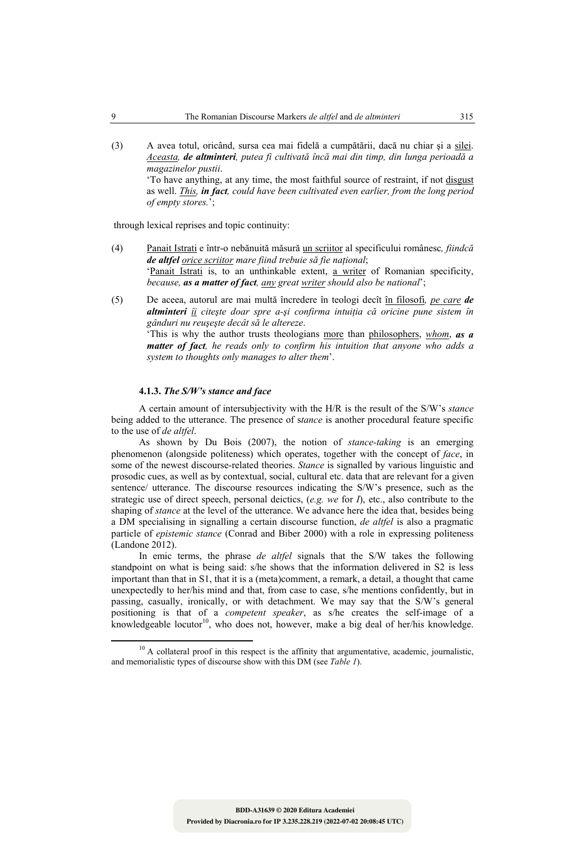(3) A avea totul, oricând, sursa cea mai fidelă a cumpătării, dacă nu chiar şi a silei. *Aceasta, de altminteri, putea fi cultivată încă mai din timp, din lunga perioadă a magazinelor pustii*. 'To have anything, at any time, the most faithful source of restraint, if not disgust as well. *This, in fact, could have been cultivated even earlier, from the long period* 

through lexical reprises and topic continuity:

*of empty stores.*';

- (4) Panait Istrati e într-o nebănuită măsură un scriitor al specificului românesc*, fiindcă de altfel orice scriitor mare fiind trebuie să fie naţional*; 'Panait Istrati is, to an unthinkable extent, a writer of Romanian specificity, *because, as a matter of fact, any great writer should also be national*';
- (5) De aceea, autorul are mai multă încredere în teologi decît în filosofi*, pe care de altminteri îi citeşte doar spre a-şi confirma intuiţia că oricine pune sistem în gânduri nu reuşeşte decât să le altereze*. 'This is why the author trusts theologians more than philosophers, *whom*, *as a*

*matter of fact, he reads only to confirm his intuition that anyone who adds a system to thoughts only manages to alter them*'.

# **4.1.3.** *The S/W's stance and face*

A certain amount of intersubjectivity with the H/R is the result of the S/W's *stance*  being added to the utterance. The presence of s*tance* is another procedural feature specific to the use of *de altfel*.

As shown by Du Bois (2007), the notion of *stance-taking* is an emerging phenomenon (alongside politeness) which operates, together with the concept of *face*, in some of the newest discourse-related theories. *Stance* is signalled by various linguistic and prosodic cues, as well as by contextual, social, cultural etc. data that are relevant for a given sentence/ utterance. The discourse resources indicating the S/W's presence, such as the strategic use of direct speech, personal deictics, (*e.g. we* for *I*), etc., also contribute to the shaping of *stance* at the level of the utterance. We advance here the idea that, besides being a DM specialising in signalling a certain discourse function, *de altfel* is also a pragmatic particle of *epistemic stance* (Conrad and Biber 2000) with a role in expressing politeness (Landone 2012).

In emic terms, the phrase *de altfel* signals that the S/W takes the following standpoint on what is being said: s/he shows that the information delivered in S2 is less important than that in S1, that it is a (meta)comment, a remark, a detail, a thought that came unexpectedly to her/his mind and that, from case to case, s/he mentions confidently, but in passing, casually, ironically, or with detachment. We may say that the S/W's general positioning is that of a *competent speaker*, as s/he creates the self-image of a knowledgeable locutor<sup>10</sup>, who does not, however, make a big deal of her/his knowledge.

<sup>&</sup>lt;sup>10</sup> A collateral proof in this respect is the affinity that argumentative, academic, journalistic, and memorialistic types of discourse show with this DM (see *Table 1*).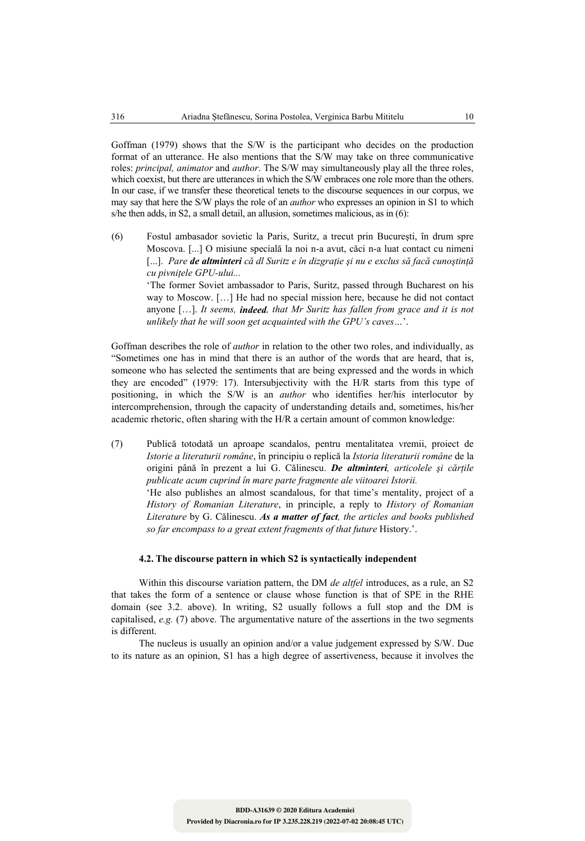Goffman (1979) shows that the S/W is the participant who decides on the production format of an utterance. He also mentions that the S/W may take on three communicative roles: *principal, animator* and *author*. The S/W may simultaneously play all the three roles, which coexist, but there are utterances in which the S/W embraces one role more than the others. In our case, if we transfer these theoretical tenets to the discourse sequences in our corpus, we may say that here the S/W plays the role of an *author* who expresses an opinion in S1 to which s/he then adds, in S2, a small detail, an allusion, sometimes malicious, as in (6):

(6) Fostul ambasador sovietic la Paris, Suritz, a trecut prin Bucureşti, în drum spre Moscova. [...] O misiune specială la noi n-a avut, căci n-a luat contact cu nimeni [...]. *Pare de altminteri că dl Suritz e în dizgraţie şi nu e exclus să facă cunoştinţă cu pivniţele GPU-ului...*

'The former Soviet ambassador to Paris, Suritz, passed through Bucharest on his way to Moscow. […] He had no special mission here, because he did not contact anyone […]. *It seems, indeed, that Mr Suritz has fallen from grace and it is not unlikely that he will soon get acquainted with the GPU's caves…*'.

Goffman describes the role of *author* in relation to the other two roles, and individually, as "Sometimes one has in mind that there is an author of the words that are heard, that is, someone who has selected the sentiments that are being expressed and the words in which they are encoded" (1979: 17). Intersubjectivity with the H/R starts from this type of positioning, in which the S/W is an *author* who identifies her/his interlocutor by intercomprehension, through the capacity of understanding details and, sometimes, his/her academic rhetoric, often sharing with the H/R a certain amount of common knowledge:

(7) Publică totodată un aproape scandalos, pentru mentalitatea vremii, proiect de *Istorie a literaturii române*, în principiu o replică la *Istoria literaturii române* de la origini până în prezent a lui G. Călinescu. *De altminteri, articolele şi cărţile publicate acum cuprind în mare parte fragmente ale viitoarei Istorii.*  'He also publishes an almost scandalous, for that time's mentality, project of a *History of Romanian Literature*, in principle, a reply to *History of Romanian Literature* by G. Călinescu. *As a matter of fact, the articles and books published so far encompass to a great extent fragments of that future* History.'.

# **4.2. The discourse pattern in which S2 is syntactically independent**

Within this discourse variation pattern, the DM *de altfel* introduces, as a rule, an S2 that takes the form of a sentence or clause whose function is that of SPE in the RHE domain (see 3.2. above). In writing, S2 usually follows a full stop and the DM is capitalised, *e.g.* (7) above. The argumentative nature of the assertions in the two segments is different.

The nucleus is usually an opinion and/or a value judgement expressed by S/W. Due to its nature as an opinion, S1 has a high degree of assertiveness, because it involves the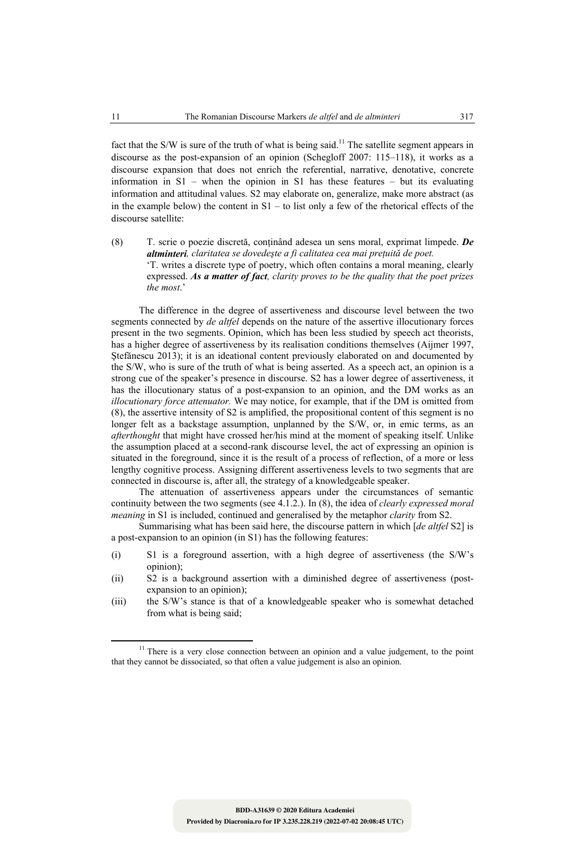fact that the S/W is sure of the truth of what is being said.<sup>11</sup> The satellite segment appears in discourse as the post-expansion of an opinion (Schegloff 2007: 115–118), it works as a discourse expansion that does not enrich the referential, narrative, denotative, concrete information in S1 – when the opinion in S1 has these features – but its evaluating information and attitudinal values. S2 may elaborate on, generalize, make more abstract (as in the example below) the content in  $S1 -$  to list only a few of the rhetorical effects of the discourse satellite:

(8) T. scrie o poezie discretă, conţinând adesea un sens moral, exprimat limpede. *De altminteri, claritatea se dovedeşte a fi calitatea cea mai preţuită de poet.* 'T. writes a discrete type of poetry, which often contains a moral meaning, clearly expressed. *As a matter of fact, clarity proves to be the quality that the poet prizes the most*.'

The difference in the degree of assertiveness and discourse level between the two segments connected by *de altfel* depends on the nature of the assertive illocutionary forces present in the two segments. Opinion, which has been less studied by speech act theorists, has a higher degree of assertiveness by its realisation conditions themselves (Aijmer 1997, Ştefănescu 2013); it is an ideational content previously elaborated on and documented by the S/W, who is sure of the truth of what is being asserted. As a speech act, an opinion is a strong cue of the speaker's presence in discourse. S2 has a lower degree of assertiveness, it has the illocutionary status of a post-expansion to an opinion, and the DM works as an *illocutionary force attenuator.* We may notice, for example, that if the DM is omitted from (8), the assertive intensity of S2 is amplified, the propositional content of this segment is no longer felt as a backstage assumption, unplanned by the S/W, or, in emic terms, as an *afterthought* that might have crossed her/his mind at the moment of speaking itself. Unlike the assumption placed at a second-rank discourse level, the act of expressing an opinion is situated in the foreground, since it is the result of a process of reflection, of a more or less lengthy cognitive process. Assigning different assertiveness levels to two segments that are connected in discourse is, after all, the strategy of a knowledgeable speaker.

The attenuation of assertiveness appears under the circumstances of semantic continuity between the two segments (see 4.1.2.). In (8), the idea of *clearly expressed moral meaning* in S1 is included, continued and generalised by the metaphor *clarity* from S2.

Summarising what has been said here, the discourse pattern in which [*de altfel* S2] is a post-expansion to an opinion (in S1) has the following features:

- (i) S1 is a foreground assertion, with a high degree of assertiveness (the S/W's opinion);
- (ii) S2 is a background assertion with a diminished degree of assertiveness (postexpansion to an opinion);
- (iii) the S/W's stance is that of a knowledgeable speaker who is somewhat detached from what is being said;

<sup>&</sup>lt;sup>11</sup> There is a very close connection between an opinion and a value judgement, to the point that they cannot be dissociated, so that often a value judgement is also an opinion.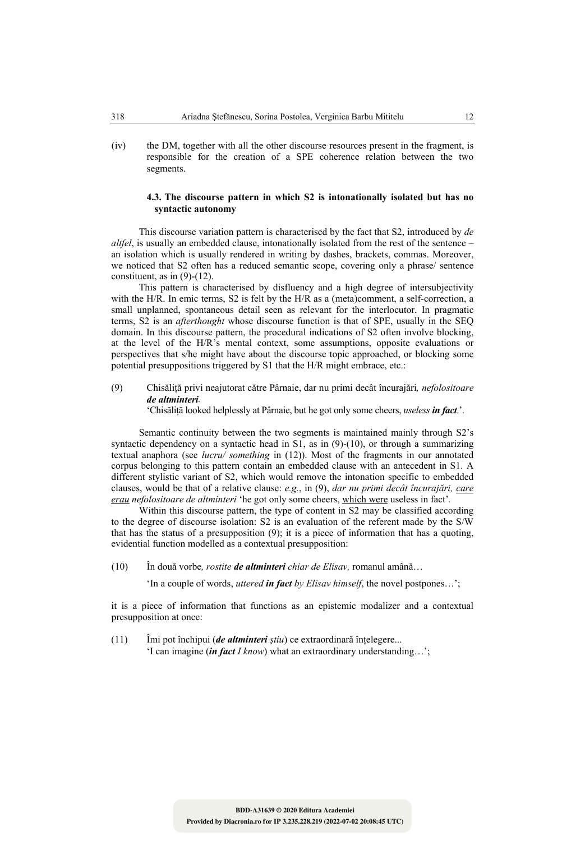(iv) the DM, together with all the other discourse resources present in the fragment, is responsible for the creation of a SPE coherence relation between the two segments.

# **4.3. The discourse pattern in which S2 is intonationally isolated but has no syntactic autonomy**

This discourse variation pattern is characterised by the fact that S2, introduced by *de altfel*, is usually an embedded clause, intonationally isolated from the rest of the sentence – an isolation which is usually rendered in writing by dashes, brackets, commas. Moreover, we noticed that S2 often has a reduced semantic scope, covering only a phrase/ sentence constituent, as in  $(9)-(12)$ .

This pattern is characterised by disfluency and a high degree of intersubjectivity with the H/R. In emic terms, S2 is felt by the H/R as a (meta)comment, a self-correction, a small unplanned, spontaneous detail seen as relevant for the interlocutor. In pragmatic terms, S2 is an *afterthought* whose discourse function is that of SPE, usually in the SEQ domain. In this discourse pattern, the procedural indications of S2 often involve blocking, at the level of the H/R's mental context, some assumptions, opposite evaluations or perspectives that s/he might have about the discourse topic approached, or blocking some potential presuppositions triggered by S1 that the H/R might embrace, etc.:

(9) Chisăliţă privi neajutorat către Pârnaie, dar nu primi decât încurajări*, nefolositoare de altminteri.*

'Chisăliţă looked helplessly at Pârnaie, but he got only some cheers, *useless in fact*.'.

Semantic continuity between the two segments is maintained mainly through S2's syntactic dependency on a syntactic head in S1, as in (9)-(10), or through a summarizing textual anaphora (see *lucru/ something* in (12)). Most of the fragments in our annotated corpus belonging to this pattern contain an embedded clause with an antecedent in S1. A different stylistic variant of S2, which would remove the intonation specific to embedded clauses, would be that of a relative clause: *e.g.*, in (9), *dar nu primi decât încurajări, care erau nefolositoare de altminteri* 'he got only some cheers, which were useless in fact'*.* 

Within this discourse pattern, the type of content in S2 may be classified according to the degree of discourse isolation: S2 is an evaluation of the referent made by the S/W that has the status of a presupposition (9); it is a piece of information that has a quoting, evidential function modelled as a contextual presupposition:

(10) În două vorbe*, rostite de altminteri chiar de Elisav,* romanul amână…

'In a couple of words, *uttered in fact by Elisav himself*, the novel postpones…';

it is a piece of information that functions as an epistemic modalizer and a contextual presupposition at once:

(11) Îmi pot închipui (*de altminteri ştiu*) ce extraordinară înţelegere... 'I can imagine (*in fact I know*) what an extraordinary understanding…';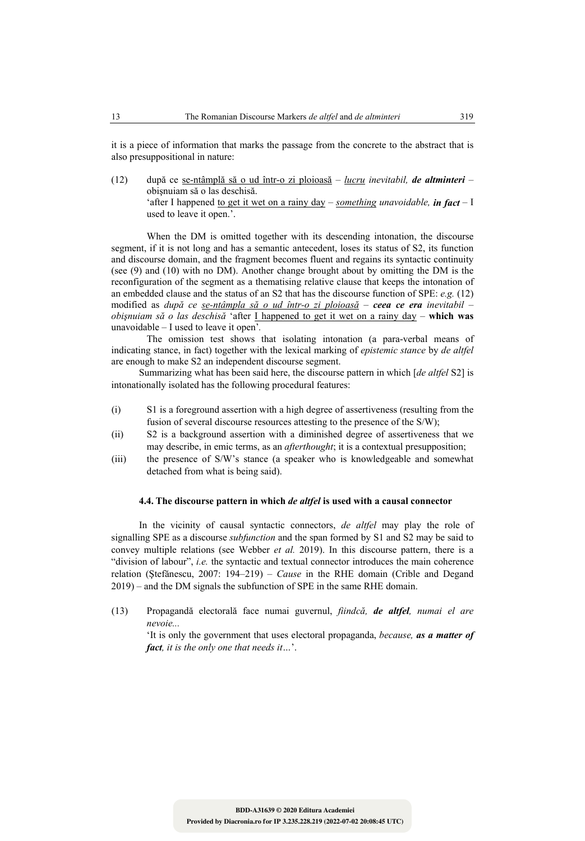it is a piece of information that marks the passage from the concrete to the abstract that is also presuppositional in nature:

(12) după ce se-ntâmplă să o ud într-o zi ploioasă – *lucru inevitabil, de altminteri* – obişnuiam să o las deschisă. 'after I happened to get it wet on a rainy day – *something unavoidable, in fact –* I used to leave it open.'.

 When the DM is omitted together with its descending intonation, the discourse segment, if it is not long and has a semantic antecedent, loses its status of S2, its function and discourse domain, and the fragment becomes fluent and regains its syntactic continuity (see (9) and (10) with no DM). Another change brought about by omitting the DM is the reconfiguration of the segment as a thematising relative clause that keeps the intonation of an embedded clause and the status of an S2 that has the discourse function of SPE: *e.g.* (12) modified as *după ce se-ntâmpla să o ud într-o zi ploioasă* – *ceea ce era inevitabil* – *obişnuiam să o las deschisă* 'after I happened to get it wet on a rainy day – **which was**  unavoidable – I used to leave it open'*.* 

 The omission test shows that isolating intonation (a para-verbal means of indicating stance, in fact) together with the lexical marking of *epistemic stance* by *de altfel*  are enough to make S2 an independent discourse segment.

Summarizing what has been said here, the discourse pattern in which [*de altfel* S2] is intonationally isolated has the following procedural features:

- (i) S1 is a foreground assertion with a high degree of assertiveness (resulting from the fusion of several discourse resources attesting to the presence of the S/W);
- (ii) S2 is a background assertion with a diminished degree of assertiveness that we may describe, in emic terms, as an *afterthought*; it is a contextual presupposition;
- (iii) the presence of S/W's stance (a speaker who is knowledgeable and somewhat detached from what is being said).

#### **4.4. The discourse pattern in which** *de altfel* **is used with a causal connector**

In the vicinity of causal syntactic connectors, *de altfel* may play the role of signalling SPE as a discourse *subfunction* and the span formed by S1 and S2 may be said to convey multiple relations (see Webber *et al.* 2019). In this discourse pattern, there is a "division of labour", *i.e.* the syntactic and textual connector introduces the main coherence relation (Ştefănescu, 2007: 194–219) – *Cause* in the RHE domain (Crible and Degand 2019) – and the DM signals the subfunction of SPE in the same RHE domain.

(13) Propagandă electorală face numai guvernul, *fiindcă, de altfel, numai el are nevoie...*

'It is only the government that uses electoral propaganda, *because, as a matter of fact, it is the only one that needs it…*'.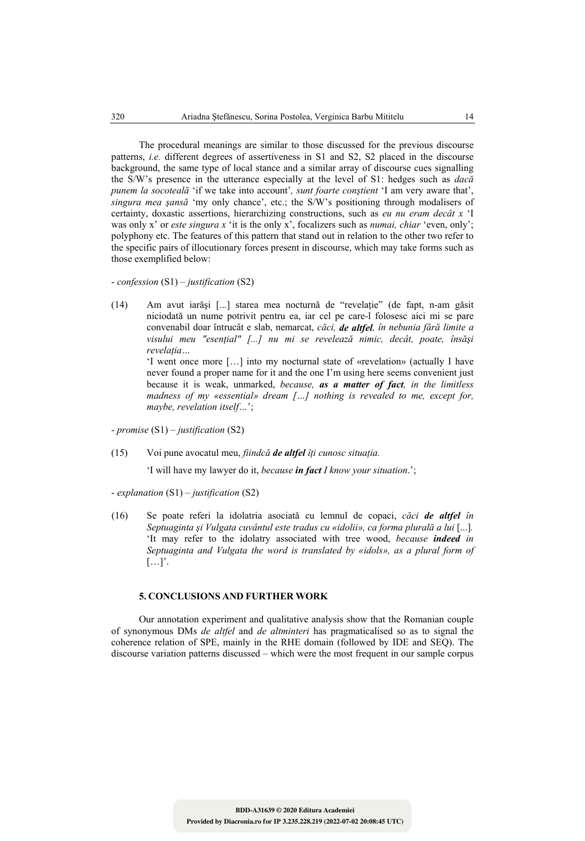The procedural meanings are similar to those discussed for the previous discourse patterns, *i.e.* different degrees of assertiveness in S1 and S2, S2 placed in the discourse background, the same type of local stance and a similar array of discourse cues signalling the S/W's presence in the utterance especially at the level of S1: hedges such as *dacă punem la socoteală* 'if we take into account'*, sunt foarte conştient* 'I am very aware that', *singura mea şansă* 'my only chance', etc.; the S/W's positioning through modalisers of certainty, doxastic assertions, hierarchizing constructions, such as *eu nu eram decât x* 'I was only x' or *este singura x* 'it is the only x', focalizers such as *numai, chiar* 'even, only'; polyphony etc. The features of this pattern that stand out in relation to the other two refer to the specific pairs of illocutionary forces present in discourse, which may take forms such as those exemplified below:

- *confession* (S1) – *justification* (S2)

(14) Am avut iarăşi [...] starea mea nocturnă de "revelaţie" (de fapt, n-am găsit niciodată un nume potrivit pentru ea, iar cel pe care-l folosesc aici mi se pare convenabil doar întrucât e slab, nemarcat, *căci, de altfel, în nebunia fără limite a visului meu "esenţial" [...] nu mi se revelează nimic, decât, poate, însăşi revelaţia…*

'I went once more […] into my nocturnal state of «revelation» (actually I have never found a proper name for it and the one I'm using here seems convenient just because it is weak, unmarked, *because, as a matter of fact, in the limitless madness of my «essential» dream […] nothing is revealed to me, except for, maybe, revelation itself…*';

- *promise* (S1) *– justification* (S2)

(15) Voi pune avocatul meu, *fiindcă de altfel îţi cunosc situaţia.*

'I will have my lawyer do it, *because in fact I know your situation*.';

- *explanation* (S1) – *justification* (S2)

(16) Se poate referi la idolatria asociată cu lemnul de copaci, *căci de altfel în Septuaginta şi Vulgata cuvântul este tradus cu «idolii», ca forma plurală a lui* [...]*.*  'It may refer to the idolatry associated with tree wood, *because indeed in Septuaginta and Vulgata the word is translated by «idols», as a plural form of*  […]'.

# **5. CONCLUSIONS AND FURTHER WORK**

Our annotation experiment and qualitative analysis show that the Romanian couple of synonymous DMs *de altfel* and *de altminteri* has pragmaticalised so as to signal the coherence relation of SPE, mainly in the RHE domain (followed by IDE and SEQ). The discourse variation patterns discussed – which were the most frequent in our sample corpus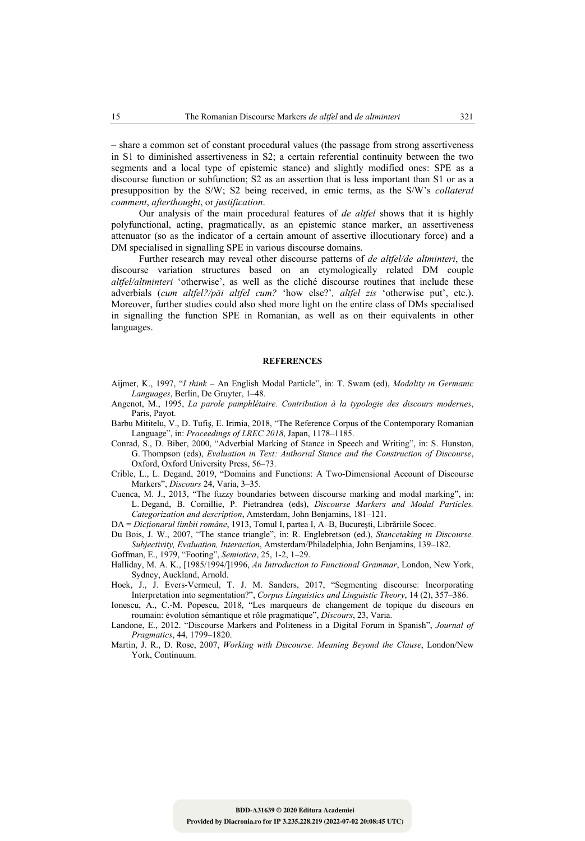– share a common set of constant procedural values (the passage from strong assertiveness in S1 to diminished assertiveness in S2; a certain referential continuity between the two segments and a local type of epistemic stance) and slightly modified ones: SPE as a discourse function or subfunction; S2 as an assertion that is less important than S1 or as a presupposition by the S/W; S2 being received, in emic terms, as the S/W's *collateral comment*, *afterthought*, or *justification*.

Our analysis of the main procedural features of *de altfel* shows that it is highly polyfunctional, acting, pragmatically, as an epistemic stance marker, an assertiveness attenuator (so as the indicator of a certain amount of assertive illocutionary force) and a DM specialised in signalling SPE in various discourse domains.

Further research may reveal other discourse patterns of *de altfel/de altminteri*, the discourse variation structures based on an etymologically related DM couple *altfel/altminteri* 'otherwise', as well as the cliché discourse routines that include these adverbials (*cum altfel?/păi altfel cum?* 'how else?'*, altfel zis* 'otherwise put', etc.). Moreover, further studies could also shed more light on the entire class of DMs specialised in signalling the function SPE in Romanian, as well as on their equivalents in other languages.

#### **REFERENCES**

- Aijmer, K., 1997, "*I think* An English Modal Particle", in: T. Swam (ed), *Modality in Germanic Languages*, Berlin, De Gruyter, 1–48.
- Angenot, M., 1995, *La parole pamphlétaire. Contribution à la typologie des discours modernes*, Paris, Payot.
- Barbu Mititelu, V., D. Tufiş, E. Irimia, 2018, "The Reference Corpus of the Contemporary Romanian Language", in: *Proceedings of LREC 2018*, Japan, 1178–1185.
- Conrad, S., D. Biber, 2000, "Adverbial Marking of Stance in Speech and Writing", in: S. Hunston, G. Thompson (eds), *Evaluation in Text: Authorial Stance and the Construction of Discourse*, Oxford, Oxford University Press, 56–73.
- Crible, L., L. Degand, 2019, "Domains and Functions: A Two-Dimensional Account of Discourse Markers", *Discours* 24, Varia, 3–35.
- Cuenca, M. J., 2013, "The fuzzy boundaries between discourse marking and modal marking", in: L. Degand, B. Cornillie, P. Pietrandrea (eds), *Discourse Markers and Modal Particles. Categorization and description*, Amsterdam, John Benjamins, 181–121.

DA = *Dicţionarul limbii române*, 1913, Tomul I, partea I, A–B, Bucureşti, Librăriile Socec.

Du Bois, J. W., 2007, "The stance triangle", in: R. Englebretson (ed.), *Stancetaking in Discourse. Subjectivity, Evaluation, Interaction*, Amsterdam/Philadelphia, John Benjamins, 139–182.

Goffman, E., 1979, "Footing", *Semiotica*, 25, 1-2, 1–29.

- Halliday, M. A. K., [1985/1994/]1996, *An Introduction to Functional Grammar*, London, New York, Sydney, Auckland, Arnold.
- Hoek, J., J. Evers-Vermeul, T. J. M. Sanders, 2017, "Segmenting discourse: Incorporating Interpretation into segmentation?", *Corpus Linguistics and Linguistic Theory*, 14 (2), 357–386.
- Ionescu, A., C.-M. Popescu, 2018, "Les marqueurs de changement de topique du discours en roumain: évolution sémantique et rôle pragmatique", *Discours*, 23, Varia.
- Landone, E., 2012. "Discourse Markers and Politeness in a Digital Forum in Spanish", *Journal of Pragmatics*, 44, 1799–1820.
- Martin, J. R., D. Rose, 2007, *Working with Discourse. Meaning Beyond the Clause*, London/New York, Continuum.